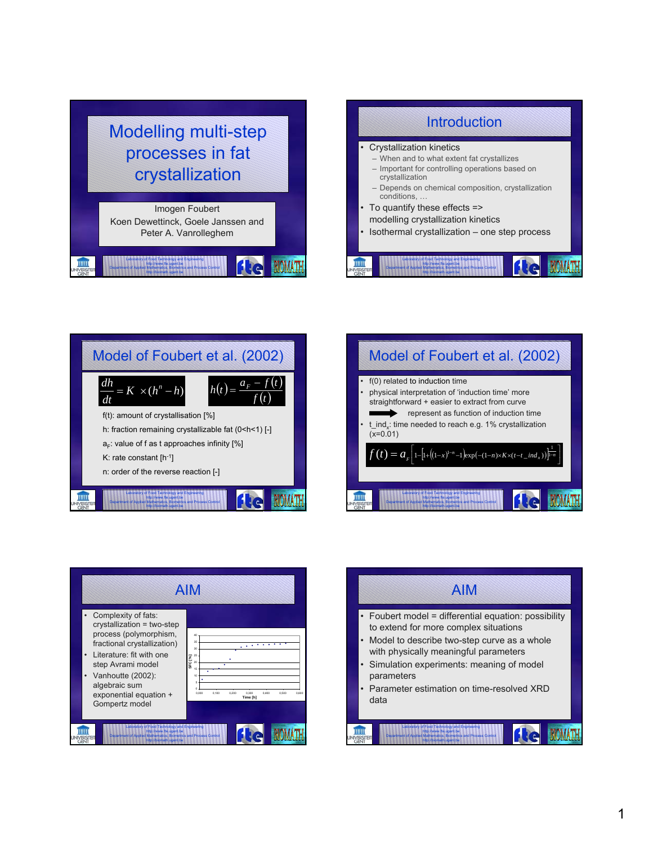







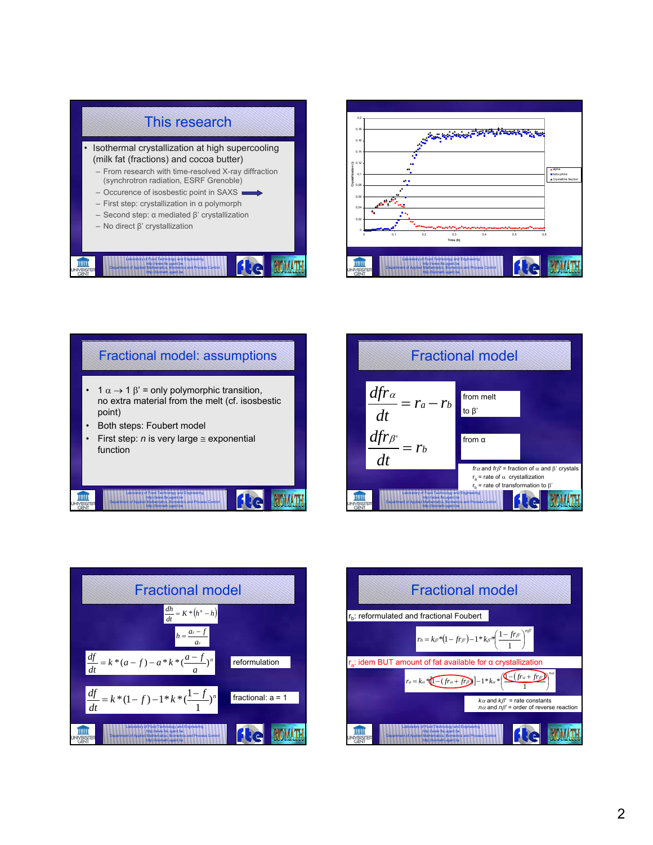









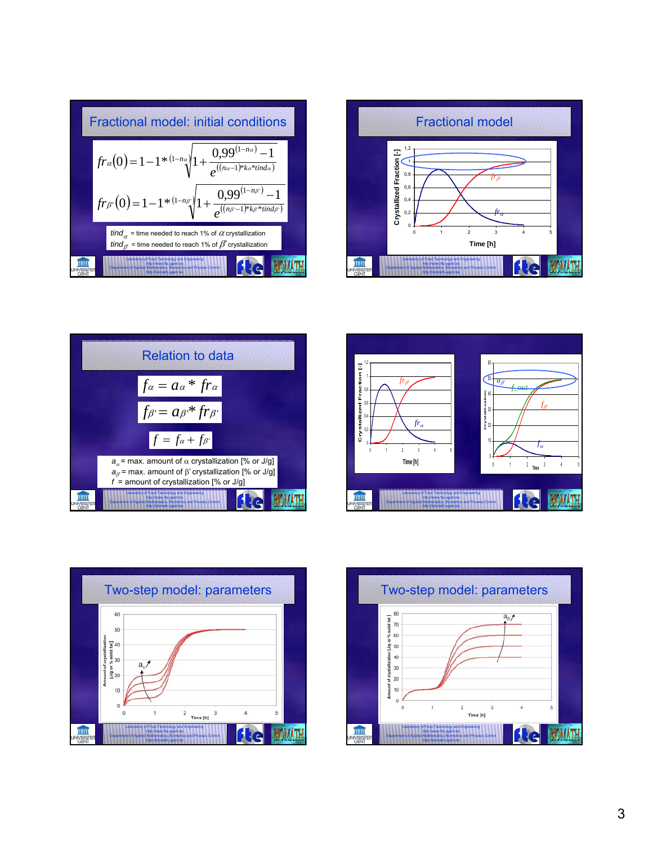









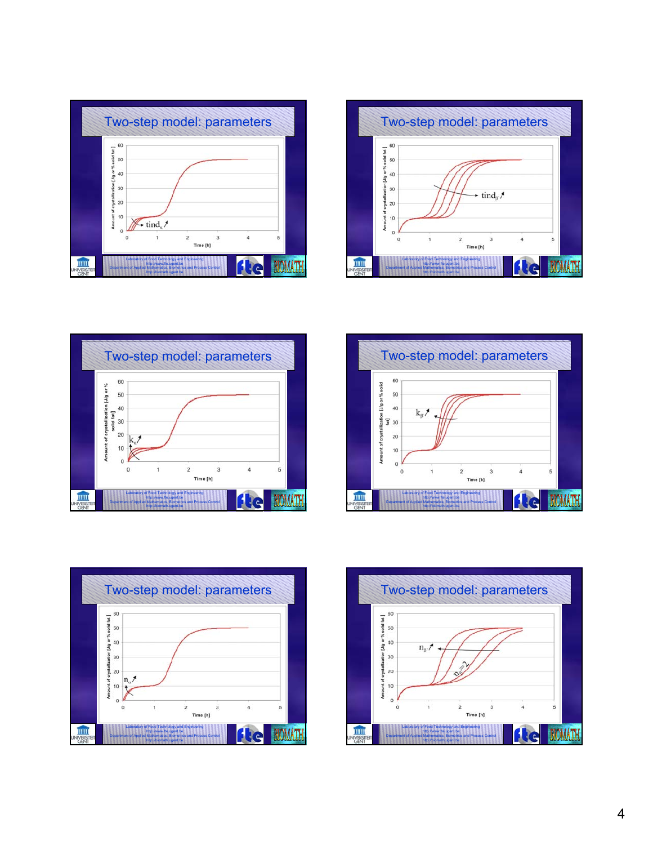